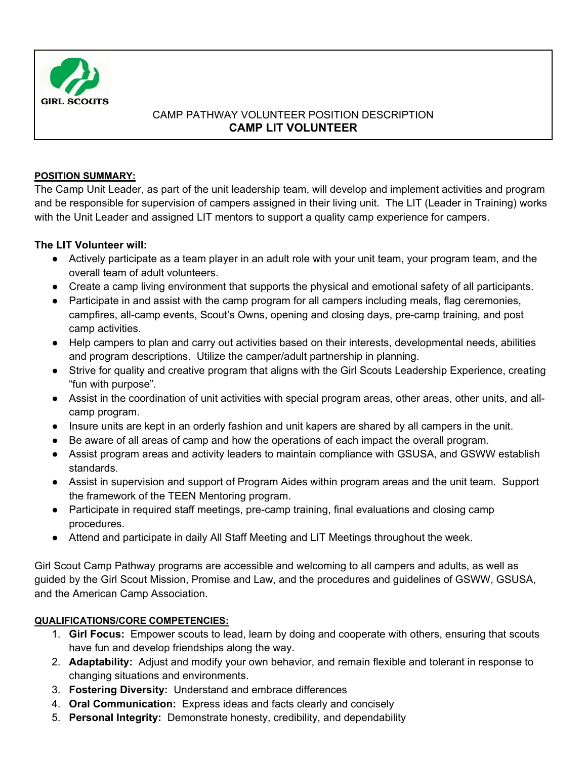

## CAMP PATHWAY VOLUNTEER POSITION DESCRIPTION **CAMP LIT VOLUNTEER**

### **POSITION SUMMARY:**

The Camp Unit Leader, as part of the unit leadership team, will develop and implement activities and program and be responsible for supervision of campers assigned in their living unit. The LIT (Leader in Training) works with the Unit Leader and assigned LIT mentors to support a quality camp experience for campers.

## **The LIT Volunteer will:**

- Actively participate as a team player in an adult role with your unit team, your program team, and the overall team of adult volunteers.
- Create a camp living environment that supports the physical and emotional safety of all participants.
- Participate in and assist with the camp program for all campers including meals, flag ceremonies, campfires, all-camp events, Scout's Owns, opening and closing days, pre-camp training, and post camp activities.
- Help campers to plan and carry out activities based on their interests, developmental needs, abilities and program descriptions. Utilize the camper/adult partnership in planning.
- Strive for quality and creative program that aligns with the Girl Scouts Leadership Experience, creating "fun with purpose".
- Assist in the coordination of unit activities with special program areas, other areas, other units, and allcamp program.
- Insure units are kept in an orderly fashion and unit kapers are shared by all campers in the unit.
- Be aware of all areas of camp and how the operations of each impact the overall program.
- Assist program areas and activity leaders to maintain compliance with GSUSA, and GSWW establish standards.
- Assist in supervision and support of Program Aides within program areas and the unit team. Support the framework of the TEEN Mentoring program.
- Participate in required staff meetings, pre-camp training, final evaluations and closing camp procedures.
- Attend and participate in daily All Staff Meeting and LIT Meetings throughout the week.

Girl Scout Camp Pathway programs are accessible and welcoming to all campers and adults, as well as guided by the Girl Scout Mission, Promise and Law, and the procedures and guidelines of GSWW, GSUSA, and the American Camp Association.

## **QUALIFICATIONS/CORE COMPETENCIES:**

- 1. **Girl Focus:** Empower scouts to lead, learn by doing and cooperate with others, ensuring that scouts have fun and develop friendships along the way.
- 2. **Adaptability:** Adjust and modify your own behavior, and remain flexible and tolerant in response to changing situations and environments.
- 3. **Fostering Diversity:** Understand and embrace differences
- 4. **Oral Communication:** Express ideas and facts clearly and concisely
- 5. **Personal Integrity:** Demonstrate honesty, credibility, and dependability